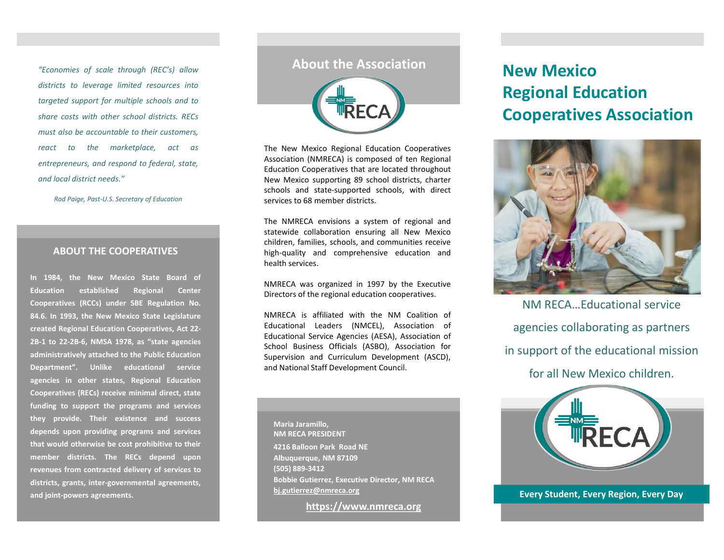*"Economies of scale through (REC's) allow districts to leverage limited resources into targeted support for multiple schools and to share costs with other school districts. RECs must also be accountable to their customers, react to the marketplace, act as entrepreneurs, and respond to federal, state, and local district needs."*

*Rod Paige, Past-U.S. Secretary of Education*

#### **ABOUT THE COOPERATIVES**

**In 1984, the New Mexico State Board of Education established Regional Center Cooperatives (RCCs) under SBE Regulation No. 84.6. In 1993, the New Mexico State Legislature created Regional Education Cooperatives, Act 22- 2B-1 to 22-2B-6, NMSA 1978, as "state agencies administratively attached to the Public Education Department". Unlike educational service agencies in other states, Regional Education Cooperatives (RECs) receive minimal direct, state funding to support the programs and services they provide. Their existence and success depends upon providing programs and services that would otherwise be cost prohibitive to their member districts. The RECs depend upon revenues from contracted delivery of services to districts, grants, inter-governmental agreements, and joint-powers agreements.**

### **About the Association**



The New Mexico Regional Education Cooperatives Association (NMRECA) is composed of ten Regional Education Cooperatives that are located throughout New Mexico supporting 89 school districts, charter schools and state-supported schools, with direct services to 68 member districts.

The NMRECA envisions a system of regional and statewide collaboration ensuring all New Mexico children, families, schools, and communities receive high-quality and comprehensive education and health services.

NMRECA was organized in 1997 by the Executive Directors of the regional education cooperatives.

NMRECA is affiliated with the NM Coalition of Educational Leaders (NMCEL), Association of Educational Service Agencies (AESA), Association of School Business Officials (ASBO), Association for Supervision and Curriculum Development (ASCD), and National Staff Development Council.

**Maria Jaramillo, NM RECA PRESIDENT 4216 Balloon Park Road NE Albuquerque, NM 87109 (505) 889-3412 Bobbie Gutierrez, Executive Director, NM RECA [bj.gutierrez@nmreca.org](mailto:Bj.Gutierrez@nmreca.org)**

**[https://www.nmreca.org](https://www.nmreca.org/)**

# **New Mexico Regional Education Cooperatives Association**



NM RECA…Educational service agencies collaborating as partners in support of the educational mission for all New Mexico children.



**Every Student, Every Region, Every Day**